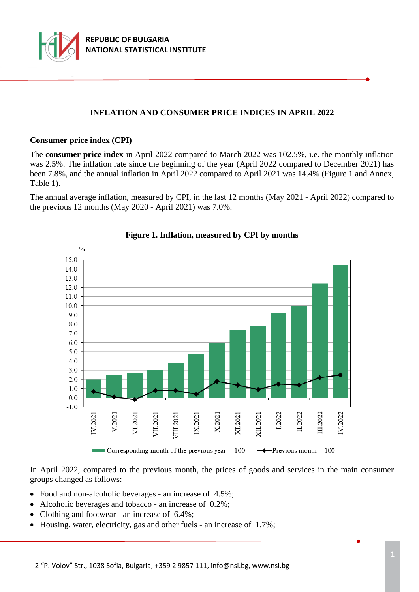

# **INFLATION AND CONSUMER PRICE INDICES IN APRIL 2022**

#### **Consumer price index (CPI)**

The **consumer price index** in April 2022 compared to March 2022 was 102.5%, i.e. the monthly inflation was 2.5%. The inflation rate since the beginning of the year (April 2022 compared to December 2021) has been 7.8%, and the annual inflation in April 2022 compared to April 2021 was 14.4% (Figure 1 and Annex, Table 1).

The annual average inflation, measured by CPI, in the last 12 months (May 2021 - April 2022) compared to the previous 12 months (May 2020 - April 2021) was 7.0%.



## **Figure 1. Inflation, measured by CPI by months**

In April 2022, compared to the previous month, the prices of goods and services in the main consumer groups changed as follows:

- Food and non-alcoholic beverages an increase of 4.5%;
- Alcoholic beverages and tobacco an increase of 0.2%;
- Clothing and footwear an increase of 6.4%;
- Housing, water, electricity, gas and other fuels an increase of 1.7%;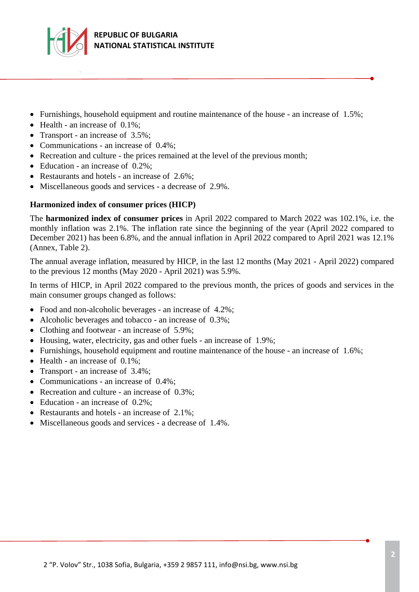

- Furnishings, household equipment and routine maintenance of the house an increase of  $1.5\%$ ;
- $\bullet$  Health an increase of 0.1%;
- Transport an increase of 3.5%;
- Communications an increase of 0.4%;
- Recreation and culture the prices remained at the level of the previous month;
- Education an increase of 0.2%;
- Restaurants and hotels an increase of 2.6%;
- Miscellaneous goods and services a decrease of 2.9%.

### **Harmonized index of consumer prices (HICP)**

The **harmonized index of consumer prices** in April 2022 compared to March 2022 was 102.1%, i.e. the monthly inflation was 2.1%. The inflation rate since the beginning of the year (April 2022 compared to December 2021) has been 6.8%, and the annual inflation in April 2022 compared to April 2021 was 12.1% (Annex, Table 2).

The annual average inflation, measured by HICP, in the last 12 months (May 2021 - April 2022) compared to the previous 12 months (May 2020 - April 2021) was 5.9%.

In terms of HICP, in April 2022 compared to the previous month, the prices of goods and services in the main consumer groups changed as follows:

- Food and non-alcoholic beverages an increase of 4.2%;
- Alcoholic beverages and tobacco an increase of 0.3%;
- Clothing and footwear an increase of 5.9%;
- Housing, water, electricity, gas and other fuels an increase of 1.9%;
- Furnishings, household equipment and routine maintenance of the house an increase of 1.6%;
- $\bullet$  Health an increase of 0.1%;
- Transport an increase of 3.4%;
- Communications an increase of 0.4%;
- Recreation and culture an increase of 0.3%;
- Education an increase of 0.2%;
- Restaurants and hotels an increase of 2.1%;
- Miscellaneous goods and services a decrease of 1.4%.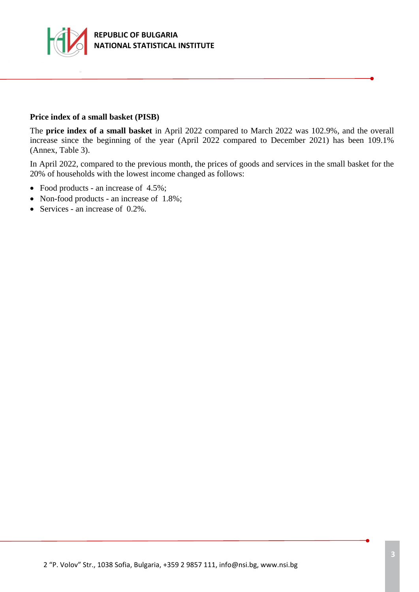

#### **Price index of a small basket (PISB)**

The **price index of a small basket** in April 2022 compared to March 2022 was 102.9%, and the overall increase since the beginning of the year (April 2022 compared to December 2021) has been 109.1% (Annex, Table 3).

In April 2022, compared to the previous month, the prices of goods and services in the small basket for the 20% of households with the lowest income changed as follows:

- Food products an increase of 4.5%;
- Non-food products an increase of 1.8%;
- Services an increase of  $0.2\%$ .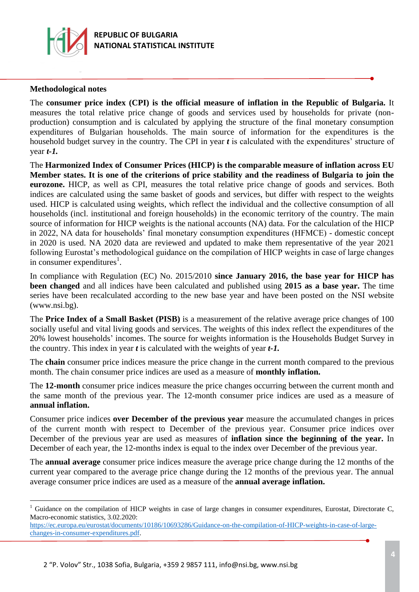

### **Methodological notes**

i<br>L

The **consumer price index (CPI) is the official measure of inflation in the Republic of Bulgaria.** It measures the total relative price change of goods and services used by households for private (nonproduction) consumption and is calculated by applying the structure of the final monetary consumption expenditures of Bulgarian households. The main source of information for the expenditures is the household budget survey in the country. The CPI in year *t* is calculated with the expenditures' structure of year *t-1.*

The **Harmonized Index of Consumer Prices (HICP) is the comparable measure of inflation across EU Member states. It is one of the criterions of price stability and the readiness of Bulgaria to join the eurozone.** HICP, as well as CPI, measures the total relative price change of goods and services. Both indices are calculated using the same basket of goods and services, but differ with respect to the weights used. HICP is calculated using weights, which reflect the individual and the collective consumption of all households (incl. institutional and foreign households) in the economic territory of the country. The main source of information for HICP weights is the national accounts (NA) data. For the calculation of the HICP in 2022, NA data for households' final monetary consumption expenditures (HFMCE) - domestic concept in 2020 is used. NA 2020 data are reviewed and updated to make them representative of the year 2021 following Eurostat's methodological guidance on the compilation of HICP weights in case of large changes in consumer expenditures<sup>1</sup>.

In compliance with Regulation (EC) No. 2015/2010 **since January 2016, the base year for HICP has been changed** and all indices have been calculated and published using **2015 as a base year.** The time series have been recalculated according to the new base year and have been posted on the NSI website (www.nsi.bg).

The **Price Index of a Small Basket (PISB)** is a measurement of the relative average price changes of 100 socially useful and vital living goods and services. The weights of this index reflect the expenditures of the 20% lowest households' incomes. The source for weights information is the Households Budget Survey in the country. This index in year *t* is calculated with the weights of year *t-1.*

The **chain** consumer price indices measure the price change in the current month compared to the previous month. The chain consumer price indices are used as a measure of **monthly inflation.**

The **12-month** consumer price indices measure the price changes occurring between the current month and the same month of the previous year. The 12-month consumer price indices are used as a measure of **annual inflation.**

Consumer price indices **over December of the previous year** measure the accumulated changes in prices of the current month with respect to December of the previous year. Consumer price indices over December of the previous year are used as measures of **inflation since the beginning of the year.** In December of each year, the 12-months index is equal to the index over December of the previous year.

The **annual average** consumer price indices measure the average price change during the 12 months of the current year compared to the average price change during the 12 months of the previous year. The annual average consumer price indices are used as a measure of the **annual average inflation.**

<sup>&</sup>lt;sup>1</sup> Guidance on the compilation of HICP weights in case of large changes in consumer expenditures, Eurostat, Directorate C, Macro-economic statistics, 3.02.2020:

[https://ec.europa.eu/eurostat/documents/10186/10693286/Guidance-on-the-compilation-of-HICP-weights-in-case-of-large](https://ec.europa.eu/eurostat/documents/10186/10693286/Guidance-on-the-compilation-of-HICP-weights-in-case-of-large-changes-in-consumer-expenditures.pdf)[changes-in-consumer-expenditures.pdf.](https://ec.europa.eu/eurostat/documents/10186/10693286/Guidance-on-the-compilation-of-HICP-weights-in-case-of-large-changes-in-consumer-expenditures.pdf)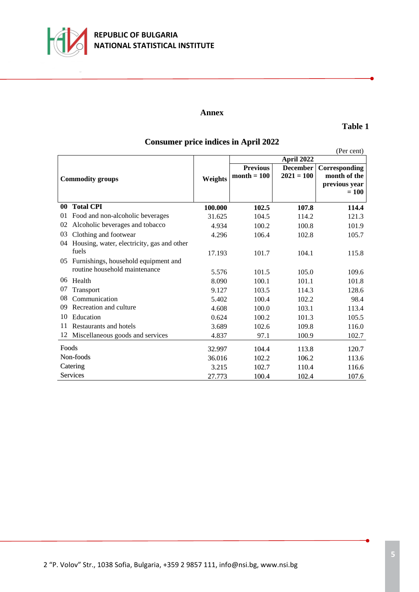

#### **Annex**

#### **Table 1**

# **Consumer price indices in April 2022**

|                         |                                            |         |                                  |                                 | (Per cent)                                                |  |
|-------------------------|--------------------------------------------|---------|----------------------------------|---------------------------------|-----------------------------------------------------------|--|
|                         |                                            |         | April 2022                       |                                 |                                                           |  |
| <b>Commodity groups</b> |                                            | Weights | <b>Previous</b><br>month $= 100$ | <b>December</b><br>$2021 = 100$ | Corresponding<br>month of the<br>previous year<br>$= 100$ |  |
| $\bf{00}$               | <b>Total CPI</b>                           | 100.000 | 102.5                            | 107.8                           | 114.4                                                     |  |
| 01                      | Food and non-alcoholic beverages           | 31.625  | 104.5                            | 114.2                           | 121.3                                                     |  |
| 02                      | Alcoholic beverages and tobacco            | 4.934   | 100.2                            | 100.8                           | 101.9                                                     |  |
| 03                      | Clothing and footwear                      | 4.296   | 106.4                            | 102.8                           | 105.7                                                     |  |
| 04                      | Housing, water, electricity, gas and other |         |                                  |                                 |                                                           |  |
|                         | fuels                                      | 17.193  | 101.7                            | 104.1                           | 115.8                                                     |  |
| 05                      | Furnishings, household equipment and       |         |                                  |                                 |                                                           |  |
|                         | routine household maintenance              | 5.576   | 101.5                            | 105.0                           | 109.6                                                     |  |
| $06 \,$                 | Health                                     | 8.090   | 100.1                            | 101.1                           | 101.8                                                     |  |
| 07                      | Transport                                  | 9.127   | 103.5                            | 114.3                           | 128.6                                                     |  |
| 08                      | Communication                              | 5.402   | 100.4                            | 102.2                           | 98.4                                                      |  |
| 09                      | Recreation and culture                     | 4.608   | 100.0                            | 103.1                           | 113.4                                                     |  |
| 10                      | Education                                  | 0.624   | 100.2                            | 101.3                           | 105.5                                                     |  |
| 11                      | Restaurants and hotels                     | 3.689   | 102.6                            | 109.8                           | 116.0                                                     |  |
| 12                      | Miscellaneous goods and services           | 4.837   | 97.1                             | 100.9                           | 102.7                                                     |  |
| Foods                   |                                            | 32.997  | 104.4                            | 113.8                           | 120.7                                                     |  |
| Non-foods               |                                            | 36.016  | 102.2                            | 106.2                           | 113.6                                                     |  |
| Catering                |                                            | 3.215   | 102.7                            | 110.4                           | 116.6                                                     |  |
| <b>Services</b>         |                                            | 27.773  | 100.4                            | 102.4                           | 107.6                                                     |  |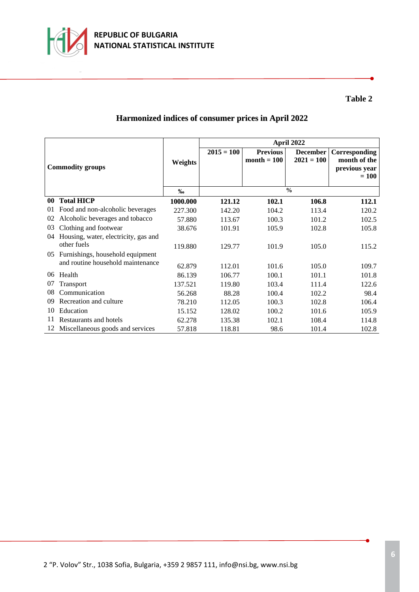

# **Table 2**

# **Harmonized indices of consumer prices in April 2022**

| <b>Commodity groups</b> |                                      |          | April 2022   |                                  |                                 |                                                |
|-------------------------|--------------------------------------|----------|--------------|----------------------------------|---------------------------------|------------------------------------------------|
|                         |                                      | Weights  | $2015 = 100$ | <b>Previous</b><br>$month = 100$ | <b>December</b><br>$2021 = 100$ | Corresponding<br>month of the<br>previous year |
|                         |                                      |          |              |                                  |                                 | $= 100$                                        |
|                         |                                      | %        |              |                                  | $\frac{0}{0}$                   |                                                |
| 00                      | <b>Total HICP</b>                    | 1000.000 | 121.12       | 102.1                            | 106.8                           | 112.1                                          |
| 01                      | Food and non-alcoholic beverages     | 227.300  | 142.20       | 104.2                            | 113.4                           | 120.2                                          |
| 02                      | Alcoholic beverages and tobacco      | 57.880   | 113.67       | 100.3                            | 101.2                           | 102.5                                          |
| 03                      | Clothing and footwear                | 38.676   | 101.91       | 105.9                            | 102.8                           | 105.8                                          |
| 04                      | Housing, water, electricity, gas and |          |              |                                  |                                 |                                                |
|                         | other fuels                          | 119.880  | 129.77       | 101.9                            | 105.0                           | 115.2                                          |
| $0.5^{\circ}$           | Furnishings, household equipment     |          |              |                                  |                                 |                                                |
|                         | and routine household maintenance    | 62.879   | 112.01       | 101.6                            | 105.0                           | 109.7                                          |
| $06^{\circ}$            | Health                               | 86.139   | 106.77       | 100.1                            | 101.1                           | 101.8                                          |
| 07                      | Transport                            | 137.521  | 119.80       | 103.4                            | 111.4                           | 122.6                                          |
| 08                      | Communication                        | 56.268   | 88.28        | 100.4                            | 102.2                           | 98.4                                           |
| 09                      | Recreation and culture               | 78.210   | 112.05       | 100.3                            | 102.8                           | 106.4                                          |
| 10                      | Education                            | 15.152   | 128.02       | 100.2                            | 101.6                           | 105.9                                          |
| 11                      | Restaurants and hotels               | 62.278   | 135.38       | 102.1                            | 108.4                           | 114.8                                          |
|                         | 12 Miscellaneous goods and services  | 57.818   | 118.81       | 98.6                             | 101.4                           | 102.8                                          |